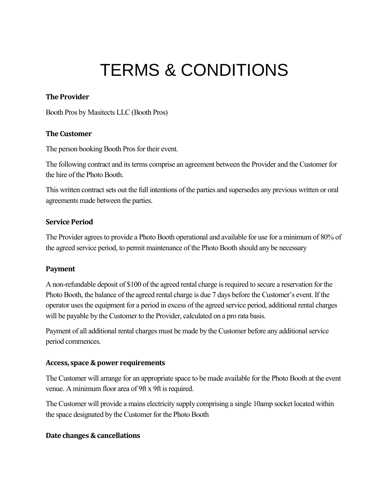# TERMS & CONDITIONS

## **The Provider**

Booth Pros by Masitects LLC (Booth Pros)

## **The Customer**

The person booking Booth Pros for their event.

The following contract and its terms comprise an agreement between the Provider and the Customer for the hire of the Photo Booth.

This written contract sets out the full intentions of the parties and supersedes any previous written or oral agreements made between the parties.

## **Service Period**

The Provider agrees to provide a Photo Booth operational and available for use for a minimum of 80% of the agreed service period, to permit maintenance of the Photo Booth should any be necessary

# **Payment**

A non-refundable deposit of \$100 of the agreed rental charge is required to secure a reservation for the Photo Booth, the balance of the agreed rental charge is due 7 days before the Customer's event. If the operator uses the equipment for a period in excess of the agreed service period, additional rental charges will be payable by the Customer to the Provider, calculated on a pro rata basis.

Payment of all additional rental charges must be made by the Customer before any additional service period commences.

#### **Access, space & power requirements**

The Customer will arrange for an appropriate space to be made available for the Photo Booth at the event venue. A minimum floor area of 9ft x 9ft is required.

The Customer will provide a mains electricity supply comprising a single 10amp socket located within the space designated by the Customer for the Photo Booth

# **Date changes & cancellations**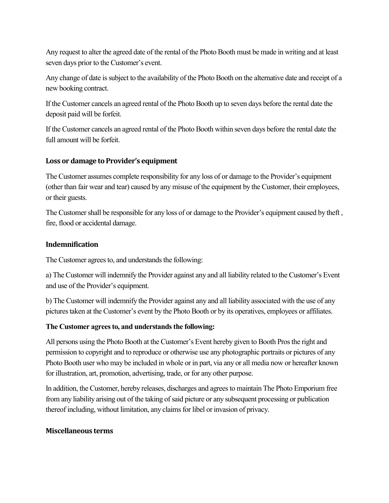Any request to alter the agreed date of the rental of the Photo Booth must be made in writing and at least seven days prior to the Customer's event.

Any change of date is subject to the availability of the Photo Booth on the alternative date and receipt of a new booking contract.

If the Customer cancels an agreed rental of the Photo Booth up to seven days before the rental date the deposit paid will be forfeit.

If the Customer cancels an agreed rental of the Photo Booth within seven days before the rental date the full amount will be forfeit.

## **Loss or damage to Provider's equipment**

The Customer assumes complete responsibility for any loss of or damage to the Provider's equipment (other than fair wear and tear) caused by any misuse of the equipment by the Customer, their employees, or their guests.

The Customer shall be responsible for any loss of or damage to the Provider's equipment caused by theft , fire, flood or accidental damage.

## **Indemnification**

The Customer agrees to, and understands the following:

a) The Customer will indemnify the Provider against any and all liability related to the Customer's Event and use of the Provider's equipment.

b) The Customer will indemnify the Provider against any and all liability associated with the use of any pictures taken at the Customer's event by the Photo Booth or by its operatives, employees or affiliates.

# **The Customer agrees to, and understands the following:**

All persons using the Photo Booth at the Customer's Event hereby given to Booth Pros the right and permission to copyright and to reproduce or otherwise use any photographic portraits or pictures of any Photo Booth user who may be included in whole or in part, via any or all media now or hereafter known for illustration, art, promotion, advertising, trade, or for any other purpose.

In addition, the Customer, hereby releases, discharges and agrees to maintain The Photo Emporium free from any liability arising out of the taking of said picture or any subsequent processing or publication thereof including, without limitation, any claims for libel or invasion of privacy.

#### **Miscellaneous terms**